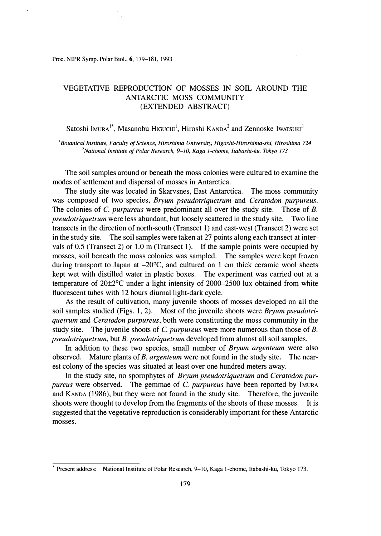Proc. NIPR Symp. Polar Biol., 6, 179-181, 1993

## VEGETATIVE REPRODUCTION OF MOSSES IN SOIL AROUND THE ANTARCTIC MOSS COMMUNITY (EXTENDED ABSTRACT)

Satoshi Imura<sup>1\*</sup>, Masanobu Higuchi<sup>1</sup>, Hiroshi Kanda<sup>2</sup> and Zennoske Iwarsuki<sup>1</sup>

*<sup>1</sup>Botanical Institute, Faculty of Science, Hiroshima University, Higashi-Hiroshima-shi, Hiroshima 724 <sup>2</sup>National Institute of Polar Research, 9-10, Kaga 1-chome, Itabashi-ku, Tokyo 173* 

The soil samples around or beneath the moss colonies were cultured to examine the modes of settlement and dispersal of mosses in Antarctica.

The study site was located in Skarvsnes, East Antarctica. The moss community was composed of two species, *Bryum pseudotriquetrum* and *Ceratodon purpureus.*  The colonies of *C. purpureus* were predominant all over the study site. Those of *B. pseudotriquetrum* were less abundant, but loosely scattered in the study site. Two line transects in the direction of north-south (Transect 1) and east-west (Transect 2) were set in the study site. The soil samples were taken at 27 points along each transect at intervals of 0.5 (Transect 2) or 1.0 m (Transect 1). If the sample points were occupied by mosses, soil beneath the moss colonies was sampled. The samples were kept frozen during transport to Japan at  $-20^{\circ}$ C, and cultured on 1 cm thick ceramic wool sheets kept wet with distilled water in plastic boxes. The experiment was carried out at a temperature of 20±2°C under a light intensity of 2000-2500 lux obtained from white fluorescent tubes with 12 hours diurnal light-dark cycle.

As the result of cultivation, many juvenile shoots of mosses developed on all the soil samples studied (Figs. 1, 2). Most of the juvenile shoots were *Bryum pseudotriquetrum* and *Ceratodon purpureus,* both were constituting the moss community in the study site. The juvenile shoots of *C. purpureus* were more numerous than those of *B. pseudotriquetrum,* but *B. pseudotriquetrum* developed from almost all soil samples.

In addition to these two species, small number of *Bryum argenteum* were also observed. Mature plants of *B. argenteum* were not found in the study site. The nearest colony of the species was situated at least over one hundred meters away.

In the study site, no sporophytes of *Bryum pseudotriquetrum* and *Ceratodon purpureus* were observed. The gemmae of *C. purpureus* have been reported by !MURA and KANDA (1986), but they were not found in the study site. Therefore, the juvenile shoots were thought to develop from the fragments of the shoots of these mosses. It is suggested that the vegetative reproduction is considerably important for these Antarctic mosses.

<sup>\*</sup> Present address: National Institute of Polar Research, 9-10, Kaga 1-chome, Itabashi-ku, Tokyo 173.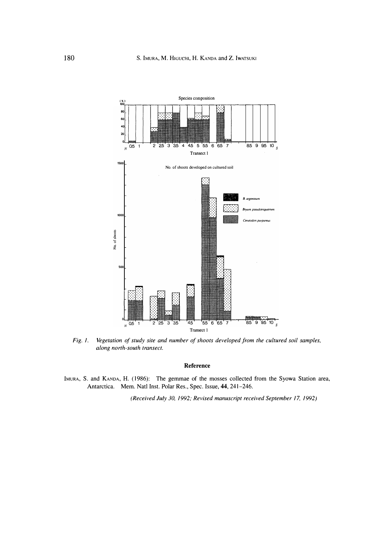

*Fig. 1. Vegetation of study site and number of shoots developed from the cultured soil samples, along north-south transect.* 

## **Reference**

IMURA, S. and KANDA, H. (1986): The gemmae of the mosses collected from the Syowa Station area, Antarctica. Mem. Natl Inst. Polar Res. , Spec. Issue, 44, 241-246.

*(Received July 30, 1992; Revised manuscript received September 17, 1992)*